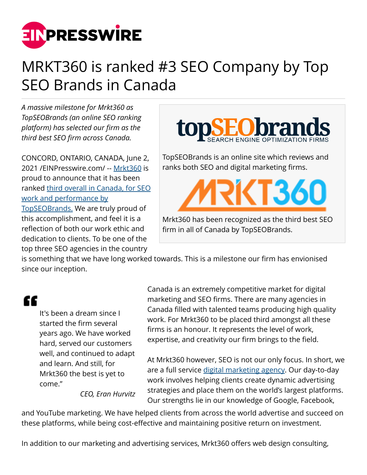

## MRKT360 is ranked #3 SEO Company by Top SEO Brands in Canada

*A massive milestone for Mrkt360 as TopSEOBrands (an online SEO ranking platform) has selected our firm as the third best SEO firm across Canada.*

CONCORD, ONTARIO, CANADA, June 2, 2021 /[EINPresswire.com](http://www.einpresswire.com)/ -- [Mrkt360](https://mrkt360.com/) is proud to announce that it has been ranked [third overall in Canada, for SEO](https://www.topseobrands.com/profile/mrkt360/) [work and performance by](https://www.topseobrands.com/profile/mrkt360/) [TopSEOBrands.](https://www.topseobrands.com/profile/mrkt360/) We are truly proud of this accomplishment, and feel it is a reflection of both our work ethic and dedication to clients. To be one of the top three SEO agencies in the country



TopSEOBrands is an online site which reviews and ranks both SEO and digital marketing firms.

**CT361** 

Mrkt360 has been recognized as the third best SEO firm in all of Canada by TopSEOBrands.

is something that we have long worked towards. This is a milestone our firm has envionised since our inception.

## "

It's been a dream since I started the firm several years ago. We have worked hard, served our customers well, and continued to adapt and learn. And still, for Mrkt360 the best is yet to come."

*CEO, Eran Hurvitz*

Canada is an extremely competitive market for digital marketing and SEO firms. There are many agencies in Canada filled with talented teams producing high quality work. For Mrkt360 to be placed third amongst all these firms is an honour. It represents the level of work, expertise, and creativity our firm brings to the field.

At Mrkt360 however, SEO is not our only focus. In short, we are a full service [digital marketing agency](https://mrkt360.com/). Our day-to-day work involves helping clients create dynamic advertising strategies and place them on the world's largest platforms. Our strengths lie in our knowledge of Google, Facebook,

and YouTube marketing. We have helped clients from across the world advertise and succeed on these platforms, while being cost-effective and maintaining positive return on investment.

In addition to our marketing and advertising services, Mrkt360 offers web design consulting,